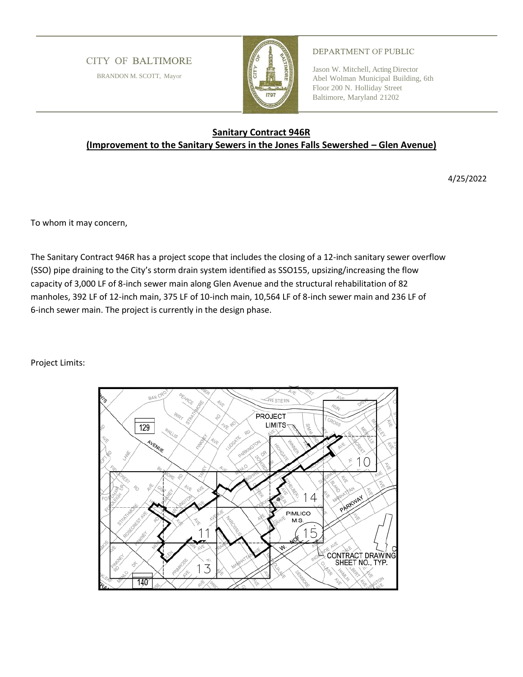## **CITY OF BALTIMORE**

BRANDON M. SCOTT, Mayor



## DEPARTMENT OF PUBLIC

Jason W. Mitchell, Acting Director Abel Wolman Municipal Building, 6th Floor 200 N. Holliday Street Baltimore, Maryland 21202

## **Sanitary Contract 946R (Improvement to the Sanitary Sewers in the Jones Falls Sewershed – Glen Avenue)**

4/25/2022

To whom it may concern,

The Sanitary Contract 946R has a project scope that includes the closing of a 12-inch sanitary sewer overflow (SSO) pipe draining to the City's storm drain system identified as SSO155, upsizing/increasing the flow capacity of 3,000 LF of 8-inch sewer main along Glen Avenue and the structural rehabilitation of 82 manholes, 392 LF of 12-inch main, 375 LF of 10-inch main, 10,564 LF of 8-inch sewer main and 236 LF of 6-inch sewer main. The project is currently in the design phase.

Project Limits: